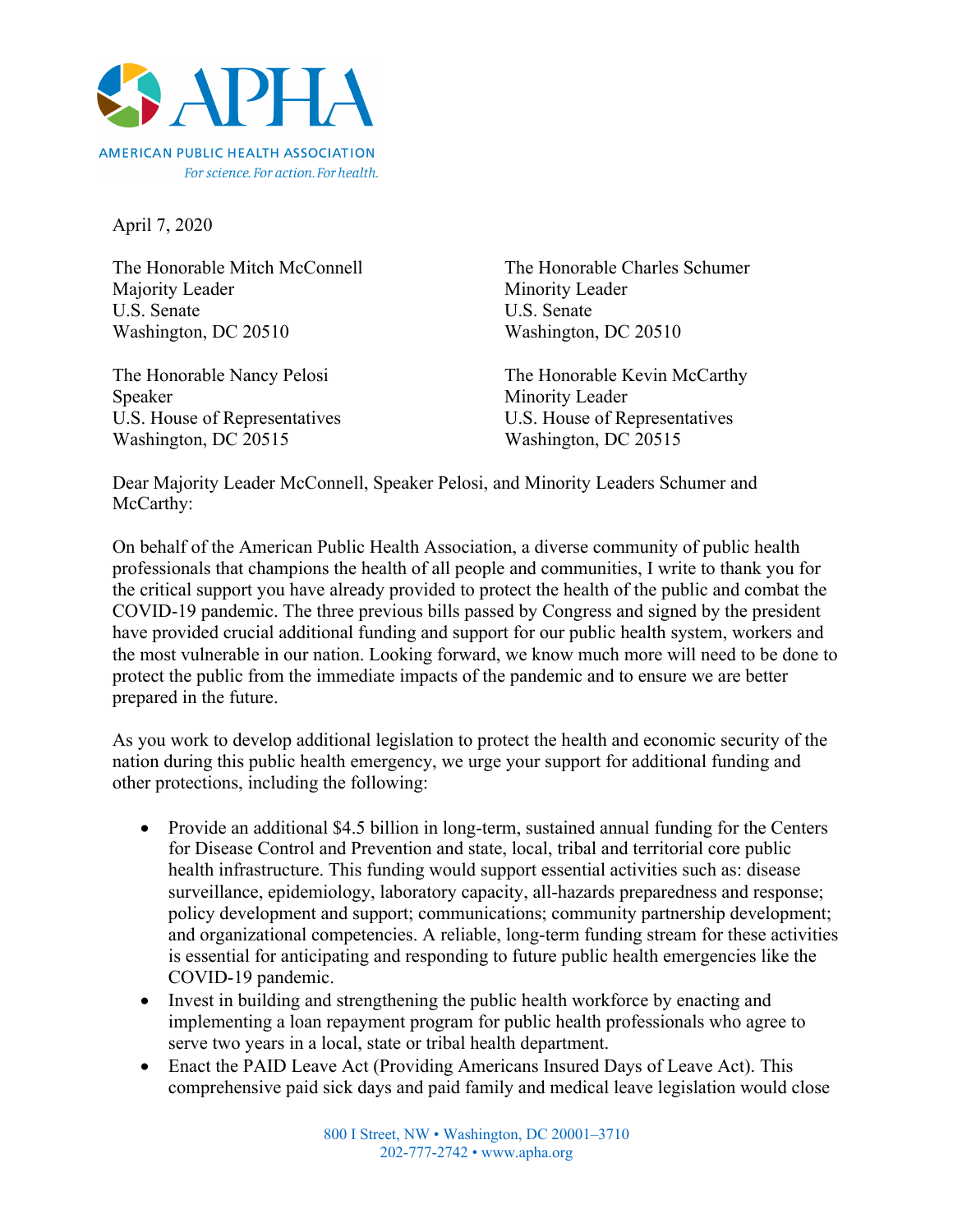

For science. For action. For health.

April 7, 2020

The Honorable Mitch McConnell The Honorable Charles Schumer Majority Leader Minority Leader U.S. Senate U.S. Senate Washington, DC 20510 Washington, DC 20510

Speaker Minority Leader U.S. House of Representatives U.S. House of Representatives Washington, DC 20515 Washington, DC 20515

The Honorable Nancy Pelosi The Honorable Kevin McCarthy

Dear Majority Leader McConnell, Speaker Pelosi, and Minority Leaders Schumer and McCarthy:

On behalf of the American Public Health Association, a diverse community of public health professionals that champions the health of all people and communities, I write to thank you for the critical support you have already provided to protect the health of the public and combat the COVID-19 pandemic. The three previous bills passed by Congress and signed by the president have provided crucial additional funding and support for our public health system, workers and the most vulnerable in our nation. Looking forward, we know much more will need to be done to protect the public from the immediate impacts of the pandemic and to ensure we are better prepared in the future.

As you work to develop additional legislation to protect the health and economic security of the nation during this public health emergency, we urge your support for additional funding and other protections, including the following:

- Provide an additional \$4.5 billion in long-term, sustained annual funding for the Centers for Disease Control and Prevention and state, local, tribal and territorial core public health infrastructure. This funding would support essential activities such as: disease surveillance, epidemiology, laboratory capacity, all-hazards preparedness and response; policy development and support; communications; community partnership development; and organizational competencies. A reliable, long-term funding stream for these activities is essential for anticipating and responding to future public health emergencies like the COVID-19 pandemic.
- Invest in building and strengthening the public health workforce by enacting and implementing a loan repayment program for public health professionals who agree to serve two years in a local, state or tribal health department.
- Enact the PAID Leave Act (Providing Americans Insured Days of Leave Act). This comprehensive paid sick days and paid family and medical leave legislation would close